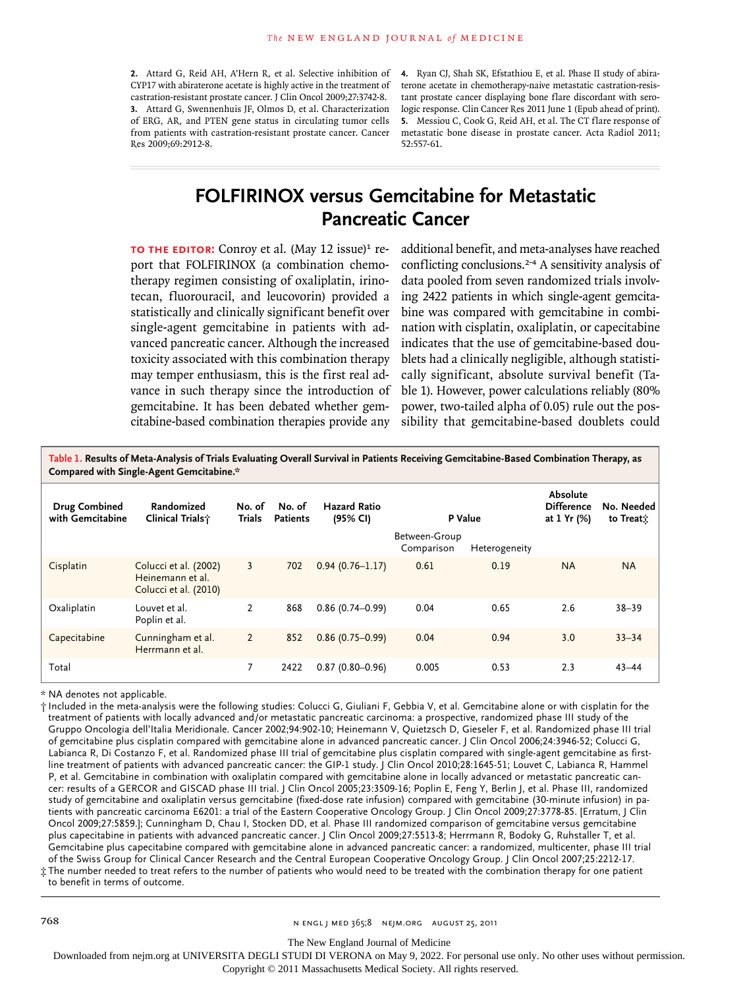**2.** Attard G, Reid AH, A'Hern R, et al. Selective inhibition of CYP17 with abiraterone acetate is highly active in the treatment of castration-resistant prostate cancer. J Clin Oncol 2009;27:3742-8. **3.** Attard G, Swennenhuis JF, Olmos D, et al. Characterization of ERG, AR, and PTEN gene status in circulating tumor cells from patients with castration-resistant prostate cancer. Cancer Res 2009;69:2912-8.

**4.** Ryan CJ, Shah SK, Efstathiou E, et al. Phase II study of abiraterone acetate in chemotherapy-naive metastatic castration-resistant prostate cancer displaying bone flare discordant with serologic response. Clin Cancer Res 2011 June 1 (Epub ahead of print). **5.** Messiou C, Cook G, Reid AH, et al. The CT flare response of metastatic bone disease in prostate cancer. Acta Radiol 2011; 52:557-61.

## **FOLFIRINOX versus Gemcitabine for Metastatic Pancreatic Cancer**

**TO THE EDITOR:** Conroy et al. (May 12 issue)<sup>1</sup> report that FOLFIRINOX (a combination chemotherapy regimen consisting of oxaliplatin, irinotecan, fluorouracil, and leucovorin) provided a statistically and clinically significant benefit over single-agent gemcitabine in patients with advanced pancreatic cancer. Although the increased toxicity associated with this combination therapy may temper enthusiasm, this is the first real advance in such therapy since the introduction of gemcitabine. It has been debated whether gemcitabine-based combination therapies provide any

additional benefit, and meta-analyses have reached conflicting conclusions.<sup>2-4</sup> A sensitivity analysis of data pooled from seven randomized trials involving 2422 patients in which single-agent gemcitabine was compared with gemcitabine in combination with cisplatin, oxaliplatin, or capecitabine indicates that the use of gemcitabine-based doublets had a clinically negligible, although statistically significant, absolute survival benefit (Table 1). However, power calculations reliably (80% power, two-tailed alpha of 0.05) rule out the possibility that gemcitabine-based doublets could

**Table 1. Results of Meta-Analysis of Trials Evaluating Overall Survival in Patients Receiving Gemcitabine-Based Combination Therapy, as Compared with Single-Agent Gemcitabine.\* Drug Combined with Gemcitabine Randomized Clinical Trials† No. of Trials Patients No. of Hazard Ratio (95% CI) P Value Absolute Difference at 1 Yr (%) No. Needed to Treat‡** Between-Group

|              |                                                                    |      |                     | Between-Group<br>Comparison | Heterogeneity |           |           |
|--------------|--------------------------------------------------------------------|------|---------------------|-----------------------------|---------------|-----------|-----------|
| Cisplatin    | Colucci et al. (2002)<br>Heinemann et al.<br>Colucci et al. (2010) | 702  | $0.94(0.76 - 1.17)$ | 0.61                        | 0.19          | <b>NA</b> | <b>NA</b> |
| Oxaliplatin  | Louvet et al.<br>Poplin et al.                                     | 868  | $0.86(0.74 - 0.99)$ | 0.04                        | 0.65          | 2.6       | $38 - 39$ |
| Capecitabine | Cunningham et al.<br>Herrmann et al.                               | 852  | $0.86(0.75 - 0.99)$ | 0.04                        | 0.94          | 3.0       | $33 - 34$ |
| Total        |                                                                    | 2422 | $0.87(0.80 - 0.96)$ | 0.005                       | 0.53          | 2.3       | $43 - 44$ |

\* NA denotes not applicable.

† Included in the meta-analysis were the following studies: Colucci G, Giuliani F, Gebbia V, et al. Gemcitabine alone or with cisplatin for the treatment of patients with locally advanced and/or metastatic pancreatic carcinoma: a prospective, randomized phase III study of the Gruppo Oncologia dell'Italia Meridionale. Cancer 2002;94:902-10; Heinemann V, Quietzsch D, Gieseler F, et al. Randomized phase III trial of gemcitabine plus cisplatin compared with gemcitabine alone in advanced pancreatic cancer. J Clin Oncol 2006;24:3946-52; Colucci G, Labianca R, Di Costanzo F, et al. Randomized phase III trial of gemcitabine plus cisplatin compared with single-agent gemcitabine as firstline treatment of patients with advanced pancreatic cancer: the GIP-1 study. J Clin Oncol 2010;28:1645-51; Louvet C, Labianca R, Hammel P, et al. Gemcitabine in combination with oxaliplatin compared with gemcitabine alone in locally advanced or metastatic pancreatic cancer: results of a GERCOR and GISCAD phase III trial. J Clin Oncol 2005;23:3509-16; Poplin E, Feng Y, Berlin J, et al. Phase III, randomized study of gemcitabine and oxaliplatin versus gemcitabine (fixed-dose rate infusion) compared with gemcitabine (30-minute infusion) in patients with pancreatic carcinoma E6201: a trial of the Eastern Cooperative Oncology Group. J Clin Oncol 2009;27:3778-85. [Erratum, J Clin Oncol 2009;27:5859.]; Cunningham D, Chau I, Stocken DD, et al. Phase III randomized comparison of gemcitabine versus gemcitabine plus capecitabine in patients with advanced pancreatic cancer. J Clin Oncol 2009;27:5513-8; Herrmann R, Bodoky G, Ruhstaller T, et al. Gemcitabine plus capecitabine compared with gemcitabine alone in advanced pancreatic cancer: a randomized, multicenter, phase III trial of the Swiss Group for Clinical Cancer Research and the Central European Cooperative Oncology Group. J Clin Oncol 2007;25:2212-17. ‡ The number needed to treat refers to the number of patients who would need to be treated with the combination therapy for one patient

to benefit in terms of outcome.

The New England Journal of Medicine

Downloaded from nejm.org at UNIVERSITA DEGLI STUDI DI VERONA on May 9, 2022. For personal use only. No other uses without permission.

Copyright © 2011 Massachusetts Medical Society. All rights reserved.